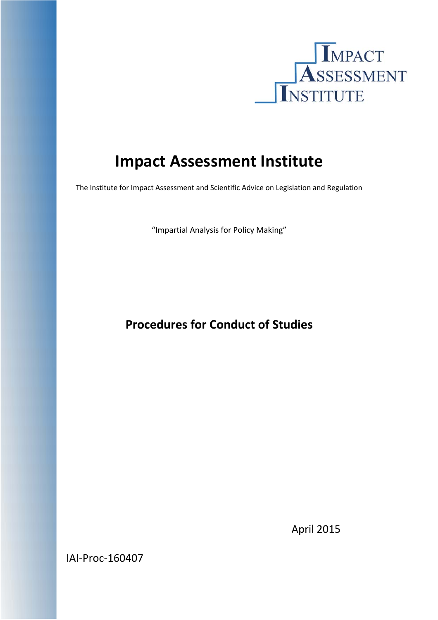

# **Impact Assessment Institute**

The Institute for Impact Assessment and Scientific Advice on Legislation and Regulation

"Impartial Analysis for Policy Making"

# **Procedures for Conduct of Studies**

IAI‐Proc‐160407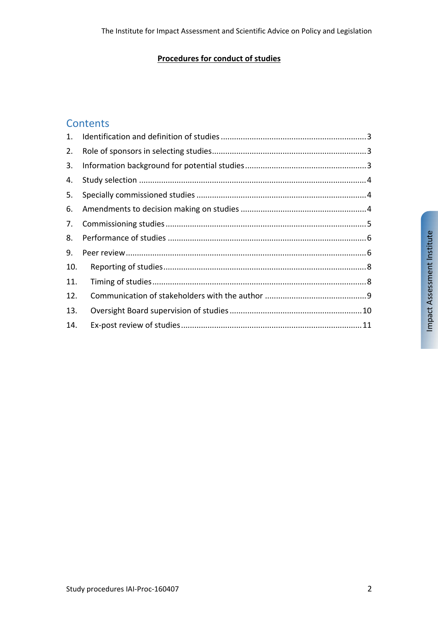#### **Procedures for conduct of studies**

#### **Contents**

| 2.  |  |
|-----|--|
| 3.  |  |
| 4.  |  |
| 5.  |  |
| 6.  |  |
| 7.  |  |
| 8.  |  |
| 9.  |  |
| 10. |  |
| 11. |  |
| 12. |  |
| 13. |  |
| 14. |  |
|     |  |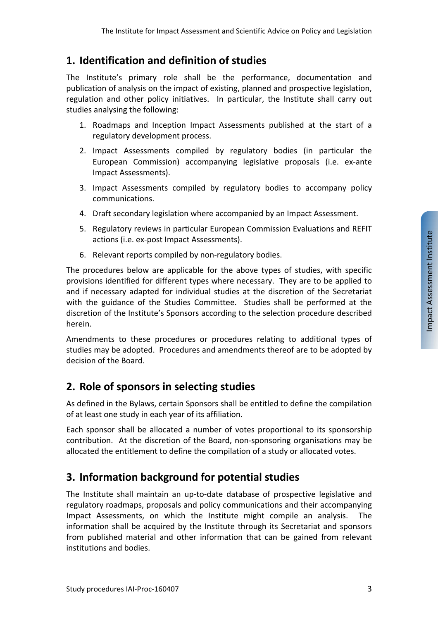#### **1. Identification and definition of studies**

The Institute's primary role shall be the performance, documentation and publication of analysis on the impact of existing, planned and prospective legislation, regulation and other policy initiatives. In particular, the Institute shall carry out studies analysing the following:

- 1. Roadmaps and Inception Impact Assessments published at the start of a regulatory development process.
- 2. Impact Assessments compiled by regulatory bodies (in particular the European Commission) accompanying legislative proposals (i.e. ex‐ante Impact Assessments).
- 3. Impact Assessments compiled by regulatory bodies to accompany policy communications.
- 4. Draft secondary legislation where accompanied by an Impact Assessment.
- 5. Regulatory reviews in particular European Commission Evaluations and REFIT actions (i.e. ex‐post Impact Assessments).
- 6. Relevant reports compiled by non‐regulatory bodies.

The procedures below are applicable for the above types of studies, with specific provisions identified for different types where necessary. They are to be applied to and if necessary adapted for individual studies at the discretion of the Secretariat with the guidance of the Studies Committee. Studies shall be performed at the discretion of the Institute's Sponsors according to the selection procedure described herein.

Amendments to these procedures or procedures relating to additional types of studies may be adopted. Procedures and amendments thereof are to be adopted by decision of the Board.

#### **2. Role of sponsors in selecting studies**

As defined in the Bylaws, certain Sponsors shall be entitled to define the compilation of at least one study in each year of its affiliation.

Each sponsor shall be allocated a number of votes proportional to its sponsorship contribution. At the discretion of the Board, non‐sponsoring organisations may be allocated the entitlement to define the compilation of a study or allocated votes.

#### **3. Information background for potential studies**

The Institute shall maintain an up-to-date database of prospective legislative and regulatory roadmaps, proposals and policy communications and their accompanying Impact Assessments, on which the Institute might compile an analysis. The information shall be acquired by the Institute through its Secretariat and sponsors from published material and other information that can be gained from relevant institutions and bodies.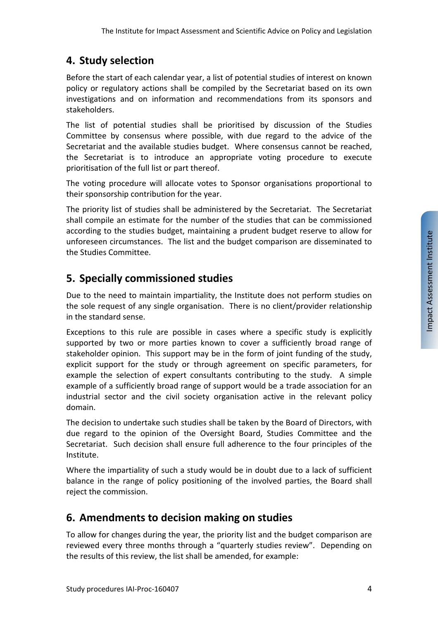#### **4. Study selection**

Before the start of each calendar year, a list of potential studies of interest on known policy or regulatory actions shall be compiled by the Secretariat based on its own investigations and on information and recommendations from its sponsors and stakeholders.

The list of potential studies shall be prioritised by discussion of the Studies Committee by consensus where possible, with due regard to the advice of the Secretariat and the available studies budget. Where consensus cannot be reached, the Secretariat is to introduce an appropriate voting procedure to execute prioritisation of the full list or part thereof.

The voting procedure will allocate votes to Sponsor organisations proportional to their sponsorship contribution for the year.

The priority list of studies shall be administered by the Secretariat. The Secretariat shall compile an estimate for the number of the studies that can be commissioned according to the studies budget, maintaining a prudent budget reserve to allow for unforeseen circumstances. The list and the budget comparison are disseminated to the Studies Committee.

#### **5. Specially commissioned studies**

Due to the need to maintain impartiality, the Institute does not perform studies on the sole request of any single organisation. There is no client/provider relationship in the standard sense.

Exceptions to this rule are possible in cases where a specific study is explicitly supported by two or more parties known to cover a sufficiently broad range of stakeholder opinion. This support may be in the form of joint funding of the study, explicit support for the study or through agreement on specific parameters, for example the selection of expert consultants contributing to the study. A simple example of a sufficiently broad range of support would be a trade association for an industrial sector and the civil society organisation active in the relevant policy domain.

The decision to undertake such studies shall be taken by the Board of Directors, with due regard to the opinion of the Oversight Board, Studies Committee and the Secretariat. Such decision shall ensure full adherence to the four principles of the Institute.

Where the impartiality of such a study would be in doubt due to a lack of sufficient balance in the range of policy positioning of the involved parties, the Board shall reject the commission.

#### **6. Amendments to decision making on studies**

To allow for changes during the year, the priority list and the budget comparison are reviewed every three months through a "quarterly studies review". Depending on the results of this review, the list shall be amended, for example: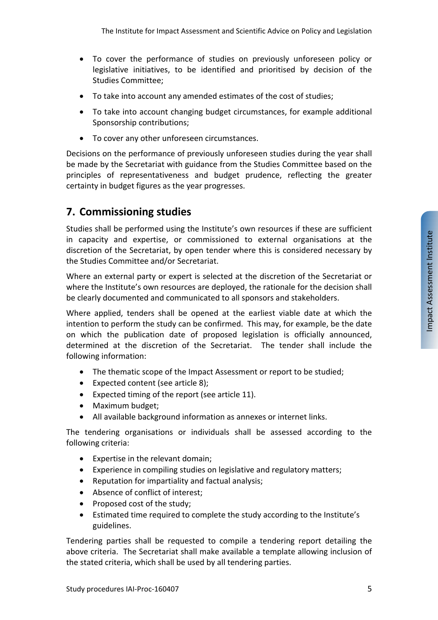- To cover the performance of studies on previously unforeseen policy or legislative initiatives, to be identified and prioritised by decision of the Studies Committee;
- To take into account any amended estimates of the cost of studies;
- To take into account changing budget circumstances, for example additional Sponsorship contributions;
- To cover any other unforeseen circumstances.

Decisions on the performance of previously unforeseen studies during the year shall be made by the Secretariat with guidance from the Studies Committee based on the principles of representativeness and budget prudence, reflecting the greater certainty in budget figures as the year progresses.

#### **7. Commissioning studies**

Studies shall be performed using the Institute's own resources if these are sufficient in capacity and expertise, or commissioned to external organisations at the discretion of the Secretariat, by open tender where this is considered necessary by the Studies Committee and/or Secretariat.

Where an external party or expert is selected at the discretion of the Secretariat or where the Institute's own resources are deployed, the rationale for the decision shall be clearly documented and communicated to all sponsors and stakeholders.

Where applied, tenders shall be opened at the earliest viable date at which the intention to perform the study can be confirmed. This may, for example, be the date on which the publication date of proposed legislation is officially announced, determined at the discretion of the Secretariat. The tender shall include the following information:

- The thematic scope of the Impact Assessment or report to be studied;
- Expected content (see article 8);
- Expected timing of the report (see article 11).
- Maximum budget;
- All available background information as annexes or internet links.

The tendering organisations or individuals shall be assessed according to the following criteria:

- Expertise in the relevant domain;
- Experience in compiling studies on legislative and regulatory matters;
- Reputation for impartiality and factual analysis;
- Absence of conflict of interest;
- Proposed cost of the study:
- Estimated time required to complete the study according to the Institute's guidelines.

Tendering parties shall be requested to compile a tendering report detailing the above criteria. The Secretariat shall make available a template allowing inclusion of the stated criteria, which shall be used by all tendering parties.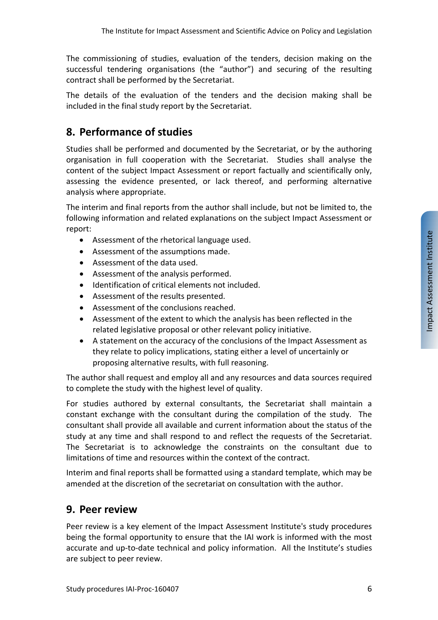The commissioning of studies, evaluation of the tenders, decision making on the successful tendering organisations (the "author") and securing of the resulting contract shall be performed by the Secretariat.

The details of the evaluation of the tenders and the decision making shall be included in the final study report by the Secretariat.

# **8. Performance of studies**

Studies shall be performed and documented by the Secretariat, or by the authoring organisation in full cooperation with the Secretariat. Studies shall analyse the content of the subject Impact Assessment or report factually and scientifically only, assessing the evidence presented, or lack thereof, and performing alternative analysis where appropriate.

The interim and final reports from the author shall include, but not be limited to, the following information and related explanations on the subject Impact Assessment or report:

- Assessment of the rhetorical language used.
- Assessment of the assumptions made.
- Assessment of the data used.
- Assessment of the analysis performed.
- $\bullet$  Identification of critical elements not included.
- Assessment of the results presented.
- Assessment of the conclusions reached.
- Assessment of the extent to which the analysis has been reflected in the related legislative proposal or other relevant policy initiative.
- A statement on the accuracy of the conclusions of the Impact Assessment as they relate to policy implications, stating either a level of uncertainly or proposing alternative results, with full reasoning.

The author shall request and employ all and any resources and data sources required to complete the study with the highest level of quality.

For studies authored by external consultants, the Secretariat shall maintain a constant exchange with the consultant during the compilation of the study. The consultant shall provide all available and current information about the status of the study at any time and shall respond to and reflect the requests of the Secretariat. The Secretariat is to acknowledge the constraints on the consultant due to limitations of time and resources within the context of the contract.

Interim and final reports shall be formatted using a standard template, which may be amended at the discretion of the secretariat on consultation with the author.

#### **9. Peer review**

Peer review is a key element of the Impact Assessment Institute's study procedures being the formal opportunity to ensure that the IAI work is informed with the most accurate and up-to-date technical and policy information. All the Institute's studies are subject to peer review.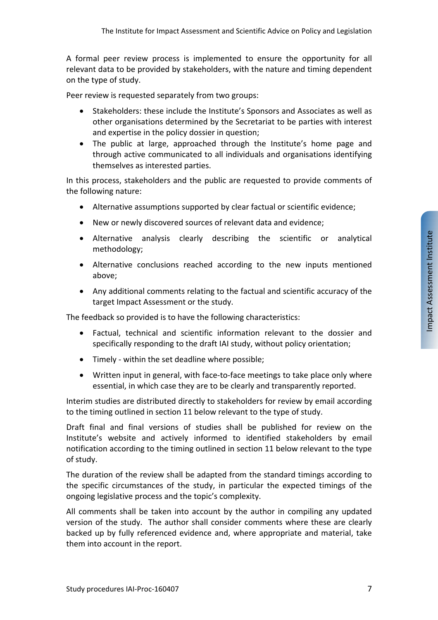A formal peer review process is implemented to ensure the opportunity for all relevant data to be provided by stakeholders, with the nature and timing dependent on the type of study.

Peer review is requested separately from two groups:

- Stakeholders: these include the Institute's Sponsors and Associates as well as other organisations determined by the Secretariat to be parties with interest and expertise in the policy dossier in question;
- The public at large, approached through the Institute's home page and through active communicated to all individuals and organisations identifying themselves as interested parties.

In this process, stakeholders and the public are requested to provide comments of the following nature:

- Alternative assumptions supported by clear factual or scientific evidence;
- New or newly discovered sources of relevant data and evidence;
- Alternative analysis clearly describing the scientific or analytical methodology;
- Alternative conclusions reached according to the new inputs mentioned above;
- Any additional comments relating to the factual and scientific accuracy of the target Impact Assessment or the study.

The feedback so provided is to have the following characteristics:

- Factual, technical and scientific information relevant to the dossier and specifically responding to the draft IAI study, without policy orientation;
- Timely ‐ within the set deadline where possible;
- Written input in general, with face-to-face meetings to take place only where essential, in which case they are to be clearly and transparently reported.

Interim studies are distributed directly to stakeholders for review by email according to the timing outlined in section 11 below relevant to the type of study.

Draft final and final versions of studies shall be published for review on the Institute's website and actively informed to identified stakeholders by email notification according to the timing outlined in section 11 below relevant to the type of study.

The duration of the review shall be adapted from the standard timings according to the specific circumstances of the study, in particular the expected timings of the ongoing legislative process and the topic's complexity.

All comments shall be taken into account by the author in compiling any updated version of the study. The author shall consider comments where these are clearly backed up by fully referenced evidence and, where appropriate and material, take them into account in the report.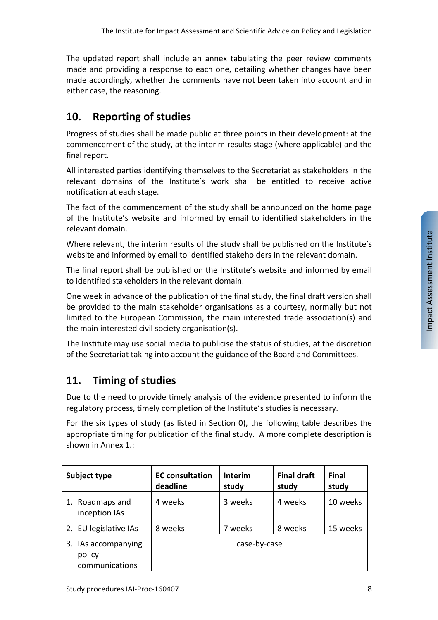The updated report shall include an annex tabulating the peer review comments made and providing a response to each one, detailing whether changes have been made accordingly, whether the comments have not been taken into account and in either case, the reasoning.

# **10. Reporting of studies**

Progress of studies shall be made public at three points in their development: at the commencement of the study, at the interim results stage (where applicable) and the final report.

All interested parties identifying themselves to the Secretariat as stakeholders in the relevant domains of the Institute's work shall be entitled to receive active notification at each stage.

The fact of the commencement of the study shall be announced on the home page of the Institute's website and informed by email to identified stakeholders in the relevant domain.

Where relevant, the interim results of the study shall be published on the Institute's website and informed by email to identified stakeholders in the relevant domain.

The final report shall be published on the Institute's website and informed by email to identified stakeholders in the relevant domain.

One week in advance of the publication of the final study, the final draft version shall be provided to the main stakeholder organisations as a courtesy, normally but not limited to the European Commission, the main interested trade association(s) and the main interested civil society organisation(s).

The Institute may use social media to publicise the status of studies, at the discretion of the Secretariat taking into account the guidance of the Board and Committees.

# **11. Timing of studies**

Due to the need to provide timely analysis of the evidence presented to inform the regulatory process, timely completion of the Institute's studies is necessary.

For the six types of study (as listed in Section 0), the following table describes the appropriate timing for publication of the final study. A more complete description is shown in Annex 1.:

| Subject type                                    | <b>EC</b> consultation<br>deadline | <b>Interim</b><br>study | <b>Final draft</b><br>study | Final<br>study |
|-------------------------------------------------|------------------------------------|-------------------------|-----------------------------|----------------|
| Roadmaps and<br>1.<br>inception IAs             | 4 weeks                            | 3 weeks                 | 4 weeks                     | 10 weeks       |
| 2. EU legislative IAs                           | 8 weeks                            | 7 weeks                 | 8 weeks                     | 15 weeks       |
| 3. IAs accompanying<br>policy<br>communications | case-by-case                       |                         |                             |                |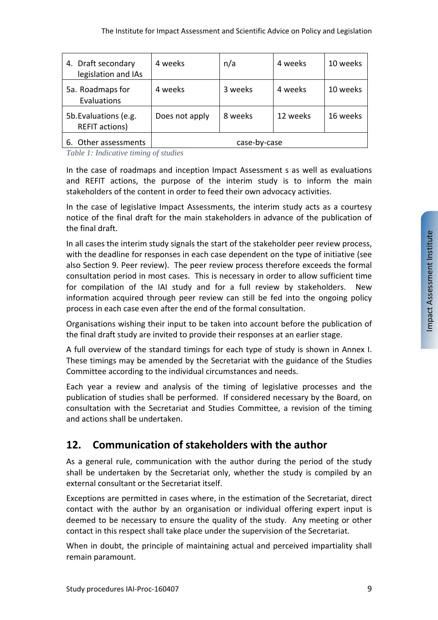| 4. Draft secondary<br>legislation and IAs      | 4 weeks        | n/a          | 4 weeks  | 10 weeks |
|------------------------------------------------|----------------|--------------|----------|----------|
| 5a. Roadmaps for<br>Evaluations                | 4 weeks        | 3 weeks      | 4 weeks  | 10 weeks |
| 5b. Evaluations (e.g.<br><b>REFIT actions)</b> | Does not apply | 8 weeks      | 12 weeks | 16 weeks |
| Other assessments<br>6.                        |                | case-by-case |          |          |

*Table 1: Indicative timing of studies* 

In the case of roadmaps and inception Impact Assessment s as well as evaluations and REFIT actions, the purpose of the interim study is to inform the main stakeholders of the content in order to feed their own advocacy activities.

In the case of legislative Impact Assessments, the interim study acts as a courtesy notice of the final draft for the main stakeholders in advance of the publication of the final draft.

In all cases the interim study signals the start of the stakeholder peer review process, with the deadline for responses in each case dependent on the type of initiative (see also Section 9. Peer review). The peer review process therefore exceeds the formal consultation period in most cases. This is necessary in order to allow sufficient time for compilation of the IAI study and for a full review by stakeholders. New information acquired through peer review can still be fed into the ongoing policy process in each case even after the end of the formal consultation.

Organisations wishing their input to be taken into account before the publication of the final draft study are invited to provide their responses at an earlier stage.

A full overview of the standard timings for each type of study is shown in Annex I. These timings may be amended by the Secretariat with the guidance of the Studies Committee according to the individual circumstances and needs.

Each year a review and analysis of the timing of legislative processes and the publication of studies shall be performed. If considered necessary by the Board, on consultation with the Secretariat and Studies Committee, a revision of the timing and actions shall be undertaken.

# **12. Communication of stakeholders with the author**

As a general rule, communication with the author during the period of the study shall be undertaken by the Secretariat only, whether the study is compiled by an external consultant or the Secretariat itself.

Exceptions are permitted in cases where, in the estimation of the Secretariat, direct contact with the author by an organisation or individual offering expert input is deemed to be necessary to ensure the quality of the study. Any meeting or other contact in this respect shall take place under the supervision of the Secretariat.

When in doubt, the principle of maintaining actual and perceived impartiality shall remain paramount.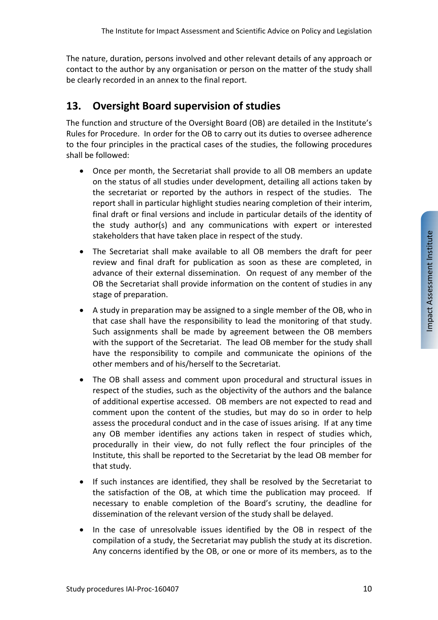The nature, duration, persons involved and other relevant details of any approach or contact to the author by any organisation or person on the matter of the study shall be clearly recorded in an annex to the final report.

# **13. Oversight Board supervision of studies**

The function and structure of the Oversight Board (OB) are detailed in the Institute's Rules for Procedure. In order for the OB to carry out its duties to oversee adherence to the four principles in the practical cases of the studies, the following procedures shall be followed:

- Once per month, the Secretariat shall provide to all OB members an update on the status of all studies under development, detailing all actions taken by the secretariat or reported by the authors in respect of the studies. The report shall in particular highlight studies nearing completion of their interim, final draft or final versions and include in particular details of the identity of the study author(s) and any communications with expert or interested stakeholders that have taken place in respect of the study.
- The Secretariat shall make available to all OB members the draft for peer review and final draft for publication as soon as these are completed, in advance of their external dissemination. On request of any member of the OB the Secretariat shall provide information on the content of studies in any stage of preparation.
- A study in preparation may be assigned to a single member of the OB, who in that case shall have the responsibility to lead the monitoring of that study. Such assignments shall be made by agreement between the OB members with the support of the Secretariat. The lead OB member for the study shall have the responsibility to compile and communicate the opinions of the other members and of his/herself to the Secretariat.
- The OB shall assess and comment upon procedural and structural issues in respect of the studies, such as the objectivity of the authors and the balance of additional expertise accessed. OB members are not expected to read and comment upon the content of the studies, but may do so in order to help assess the procedural conduct and in the case of issues arising. If at any time any OB member identifies any actions taken in respect of studies which, procedurally in their view, do not fully reflect the four principles of the Institute, this shall be reported to the Secretariat by the lead OB member for that study.
- If such instances are identified, they shall be resolved by the Secretariat to the satisfaction of the OB, at which time the publication may proceed. If necessary to enable completion of the Board's scrutiny, the deadline for dissemination of the relevant version of the study shall be delayed.
- In the case of unresolvable issues identified by the OB in respect of the compilation of a study, the Secretariat may publish the study at its discretion. Any concerns identified by the OB, or one or more of its members, as to the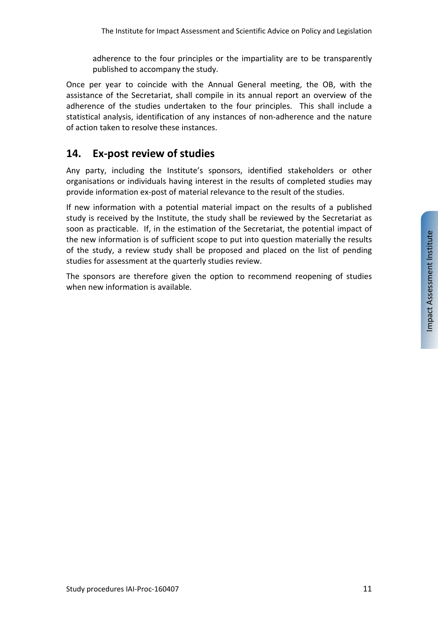adherence to the four principles or the impartiality are to be transparently published to accompany the study.

Once per year to coincide with the Annual General meeting, the OB, with the assistance of the Secretariat, shall compile in its annual report an overview of the adherence of the studies undertaken to the four principles. This shall include a statistical analysis, identification of any instances of non‐adherence and the nature of action taken to resolve these instances.

### **14. Ex‐post review of studies**

Any party, including the Institute's sponsors, identified stakeholders or other organisations or individuals having interest in the results of completed studies may provide information ex‐post of material relevance to the result of the studies.

If new information with a potential material impact on the results of a published study is received by the Institute, the study shall be reviewed by the Secretariat as soon as practicable. If, in the estimation of the Secretariat, the potential impact of the new information is of sufficient scope to put into question materially the results of the study, a review study shall be proposed and placed on the list of pending studies for assessment at the quarterly studies review.

The sponsors are therefore given the option to recommend reopening of studies when new information is available.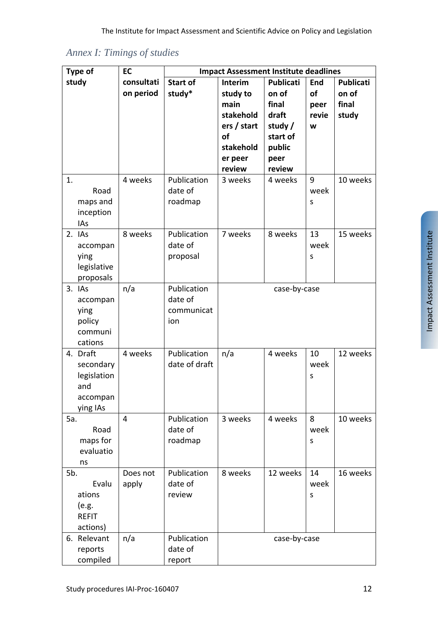*Annex I: Timings of studies*

| <b>Type of</b>      | EC         |                 | <b>Impact Assessment Institute deadlines</b> |                  |            |                  |
|---------------------|------------|-----------------|----------------------------------------------|------------------|------------|------------------|
| study               | consultati | <b>Start of</b> | Interim                                      | <b>Publicati</b> | <b>End</b> | <b>Publicati</b> |
|                     | on period  | study*          | study to                                     | on of            | of         | on of            |
|                     |            |                 | main                                         | final            | peer       | final            |
|                     |            |                 | stakehold                                    | draft            | revie      | study            |
|                     |            |                 | ers / start                                  | study /          | W          |                  |
|                     |            |                 | <b>of</b>                                    | start of         |            |                  |
|                     |            |                 | stakehold                                    | public           |            |                  |
|                     |            |                 | er peer                                      | peer             |            |                  |
|                     |            |                 | review                                       | review           |            |                  |
| 1.                  | 4 weeks    | Publication     | 3 weeks                                      | 4 weeks          | 9          | 10 weeks         |
| Road                |            | date of         |                                              |                  | week       |                  |
| maps and            |            | roadmap         |                                              |                  | S          |                  |
| inception           |            |                 |                                              |                  |            |                  |
| IAs                 |            |                 |                                              |                  |            |                  |
| 2. IAs              | 8 weeks    | Publication     | 7 weeks                                      | 8 weeks          | 13         | 15 weeks         |
| accompan            |            | date of         |                                              |                  | week       |                  |
| ying                |            | proposal        |                                              |                  | S          |                  |
| legislative         |            |                 |                                              |                  |            |                  |
| proposals<br>3. IAs | n/a        | Publication     |                                              |                  |            |                  |
|                     |            | date of         |                                              | case-by-case     |            |                  |
| accompan<br>ying    |            | communicat      |                                              |                  |            |                  |
| policy              |            | ion             |                                              |                  |            |                  |
| communi             |            |                 |                                              |                  |            |                  |
| cations             |            |                 |                                              |                  |            |                  |
| 4. Draft            | 4 weeks    | Publication     | n/a                                          | 4 weeks          | 10         | 12 weeks         |
| secondary           |            | date of draft   |                                              |                  | week       |                  |
| legislation         |            |                 |                                              |                  | S          |                  |
| and                 |            |                 |                                              |                  |            |                  |
| accompan            |            |                 |                                              |                  |            |                  |
| ying IAs            |            |                 |                                              |                  |            |                  |
| 5a.                 | 4          | Publication     | 3 weeks                                      | 4 weeks          | 8          | 10 weeks         |
| Road                |            | date of         |                                              |                  | week       |                  |
| maps for            |            | roadmap         |                                              |                  | S          |                  |
| evaluatio           |            |                 |                                              |                  |            |                  |
| ns                  |            |                 |                                              |                  |            |                  |
| 5b.                 | Does not   | Publication     | 8 weeks                                      | 12 weeks         | 14         | 16 weeks         |
| Evalu               | apply      | date of         |                                              |                  | week       |                  |
| ations              |            | review          |                                              |                  | S          |                  |
| (e.g.               |            |                 |                                              |                  |            |                  |
| <b>REFIT</b>        |            |                 |                                              |                  |            |                  |
| actions)            |            |                 |                                              |                  |            |                  |
| 6. Relevant         | n/a        | Publication     |                                              | case-by-case     |            |                  |
| reports             |            | date of         |                                              |                  |            |                  |
| compiled            |            | report          |                                              |                  |            |                  |